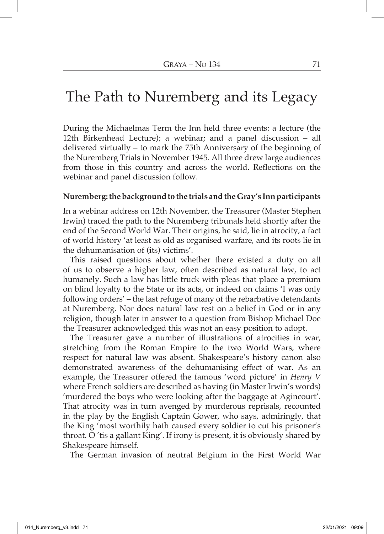## The Path to Nuremberg and its Legacy

During the Michaelmas Term the Inn held three events: a lecture (the 12th Birkenhead Lecture); a webinar; and a panel discussion – all delivered virtually – to mark the 75th Anniversary of the beginning of the Nuremberg Trials in November 1945. All three drew large audiences from those in this country and across the world. Reflections on the webinar and panel discussion follow.

## **Nuremberg: the background to the trials and the Gray's Inn participants**

In a webinar address on 12th November, the Treasurer (Master Stephen Irwin) traced the path to the Nuremberg tribunals held shortly after the end of the Second World War. Their origins, he said, lie in atrocity, a fact of world history 'at least as old as organised warfare, and its roots lie in the dehumanisation of (its) victims'.

This raised questions about whether there existed a duty on all of us to observe a higher law, often described as natural law, to act humanely. Such a law has little truck with pleas that place a premium on blind loyalty to the State or its acts, or indeed on claims 'I was only following orders' – the last refuge of many of the rebarbative defendants at Nuremberg. Nor does natural law rest on a belief in God or in any religion, though later in answer to a question from Bishop Michael Doe the Treasurer acknowledged this was not an easy position to adopt.

The Treasurer gave a number of illustrations of atrocities in war, stretching from the Roman Empire to the two World Wars, where respect for natural law was absent. Shakespeare's history canon also demonstrated awareness of the dehumanising effect of war. As an example, the Treasurer offered the famous 'word picture' in *Henry V* where French soldiers are described as having (in Master Irwin's words) 'murdered the boys who were looking after the baggage at Agincourt'. That atrocity was in turn avenged by murderous reprisals, recounted in the play by the English Captain Gower, who says, admiringly, that the King 'most worthily hath caused every soldier to cut his prisoner's throat. O 'tis a gallant King'. If irony is present, it is obviously shared by Shakespeare himself.

The German invasion of neutral Belgium in the First World War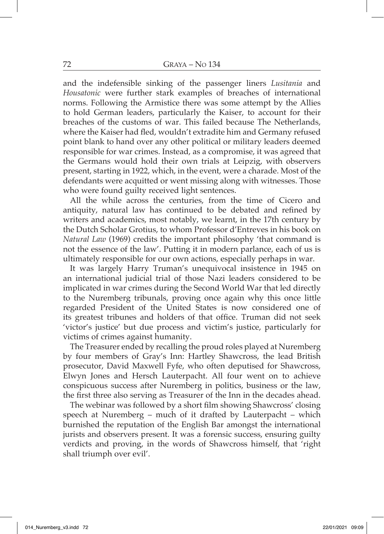and the indefensible sinking of the passenger liners *Lusitania* and *Housatonic* were further stark examples of breaches of international norms. Following the Armistice there was some attempt by the Allies to hold German leaders, particularly the Kaiser, to account for their breaches of the customs of war. This failed because The Netherlands, where the Kaiser had fled, wouldn't extradite him and Germany refused point blank to hand over any other political or military leaders deemed responsible for war crimes. Instead, as a compromise, it was agreed that the Germans would hold their own trials at Leipzig, with observers present, starting in 1922, which, in the event, were a charade. Most of the defendants were acquitted or went missing along with witnesses. Those who were found guilty received light sentences.

All the while across the centuries, from the time of Cicero and antiquity, natural law has continued to be debated and refined by writers and academics, most notably, we learnt, in the 17th century by the Dutch Scholar Grotius, to whom Professor d'Entreves in his book on *Natural Law* (1969) credits the important philosophy 'that command is not the essence of the law'. Putting it in modern parlance, each of us is ultimately responsible for our own actions, especially perhaps in war.

It was largely Harry Truman's unequivocal insistence in 1945 on an international judicial trial of those Nazi leaders considered to be implicated in war crimes during the Second World War that led directly to the Nuremberg tribunals, proving once again why this once little regarded President of the United States is now considered one of its greatest tribunes and holders of that office. Truman did not seek 'victor's justice' but due process and victim's justice, particularly for victims of crimes against humanity.

The Treasurer ended by recalling the proud roles played at Nuremberg by four members of Gray's Inn: Hartley Shawcross, the lead British prosecutor, David Maxwell Fyfe, who often deputised for Shawcross, Elwyn Jones and Hersch Lauterpacht. All four went on to achieve conspicuous success after Nuremberg in politics, business or the law, the first three also serving as Treasurer of the Inn in the decades ahead.

The webinar was followed by a short film showing Shawcross' closing speech at Nuremberg – much of it drafted by Lauterpacht – which burnished the reputation of the English Bar amongst the international jurists and observers present. It was a forensic success, ensuring guilty verdicts and proving, in the words of Shawcross himself, that 'right shall triumph over evil'.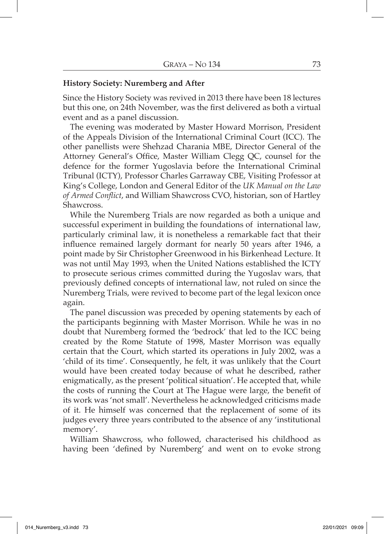## **History Society: Nuremberg and After**

Since the History Society was revived in 2013 there have been 18 lectures but this one, on 24th November, was the first delivered as both a virtual event and as a panel discussion.

The evening was moderated by Master Howard Morrison, President of the Appeals Division of the International Criminal Court (ICC). The other panellists were Shehzad Charania MBE, Director General of the Attorney General's Office, Master William Clegg QC, counsel for the defence for the former Yugoslavia before the International Criminal Tribunal (ICTY), Professor Charles Garraway CBE, Visiting Professor at King's College, London and General Editor of the *UK Manual on the Law of Armed Conflict*, and William Shawcross CVO, historian, son of Hartley Shawcross.

While the Nuremberg Trials are now regarded as both a unique and successful experiment in building the foundations of international law, particularly criminal law, it is nonetheless a remarkable fact that their influence remained largely dormant for nearly 50 years after 1946, a point made by Sir Christopher Greenwood in his Birkenhead Lecture. It was not until May 1993, when the United Nations established the ICTY to prosecute serious crimes committed during the Yugoslav wars, that previously defined concepts of international law, not ruled on since the Nuremberg Trials, were revived to become part of the legal lexicon once again.

The panel discussion was preceded by opening statements by each of the participants beginning with Master Morrison. While he was in no doubt that Nuremberg formed the 'bedrock' that led to the ICC being created by the Rome Statute of 1998, Master Morrison was equally certain that the Court, which started its operations in July 2002, was a 'child of its time'. Consequently, he felt, it was unlikely that the Court would have been created today because of what he described, rather enigmatically, as the present 'political situation'. He accepted that, while the costs of running the Court at The Hague were large, the benefit of its work was 'not small'. Nevertheless he acknowledged criticisms made of it. He himself was concerned that the replacement of some of its judges every three years contributed to the absence of any 'institutional memory'.

William Shawcross, who followed, characterised his childhood as having been 'defined by Nuremberg' and went on to evoke strong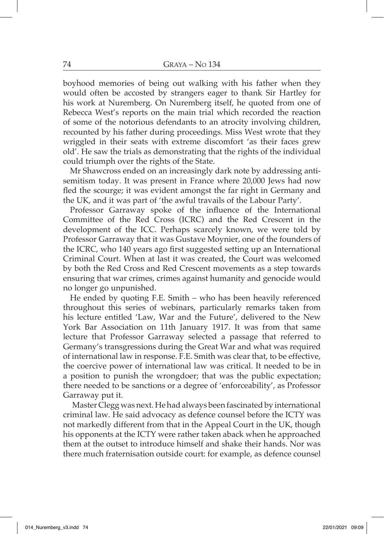boyhood memories of being out walking with his father when they would often be accosted by strangers eager to thank Sir Hartley for his work at Nuremberg. On Nuremberg itself, he quoted from one of Rebecca West's reports on the main trial which recorded the reaction of some of the notorious defendants to an atrocity involving children, recounted by his father during proceedings. Miss West wrote that they wriggled in their seats with extreme discomfort 'as their faces grew old'. He saw the trials as demonstrating that the rights of the individual could triumph over the rights of the State.

Mr Shawcross ended on an increasingly dark note by addressing antisemitism today. It was present in France where 20,000 Jews had now fled the scourge; it was evident amongst the far right in Germany and the UK, and it was part of 'the awful travails of the Labour Party'.

Professor Garraway spoke of the influence of the International Committee of the Red Cross (ICRC) and the Red Crescent in the development of the ICC. Perhaps scarcely known, we were told by Professor Garraway that it was Gustave Moynier, one of the founders of the ICRC, who 140 years ago first suggested setting up an International Criminal Court. When at last it was created, the Court was welcomed by both the Red Cross and Red Crescent movements as a step towards ensuring that war crimes, crimes against humanity and genocide would no longer go unpunished.

He ended by quoting F.E. Smith – who has been heavily referenced throughout this series of webinars, particularly remarks taken from his lecture entitled 'Law, War and the Future', delivered to the New York Bar Association on 11th January 1917. It was from that same lecture that Professor Garraway selected a passage that referred to Germany's transgressions during the Great War and what was required of international law in response. F.E. Smith was clear that, to be effective, the coercive power of international law was critical. It needed to be in a position to punish the wrongdoer; that was the public expectation; there needed to be sanctions or a degree of 'enforceability', as Professor Garraway put it.

Master Clegg was next. He had always been fascinated by international criminal law. He said advocacy as defence counsel before the ICTY was not markedly different from that in the Appeal Court in the UK, though his opponents at the ICTY were rather taken aback when he approached them at the outset to introduce himself and shake their hands. Nor was there much fraternisation outside court: for example, as defence counsel